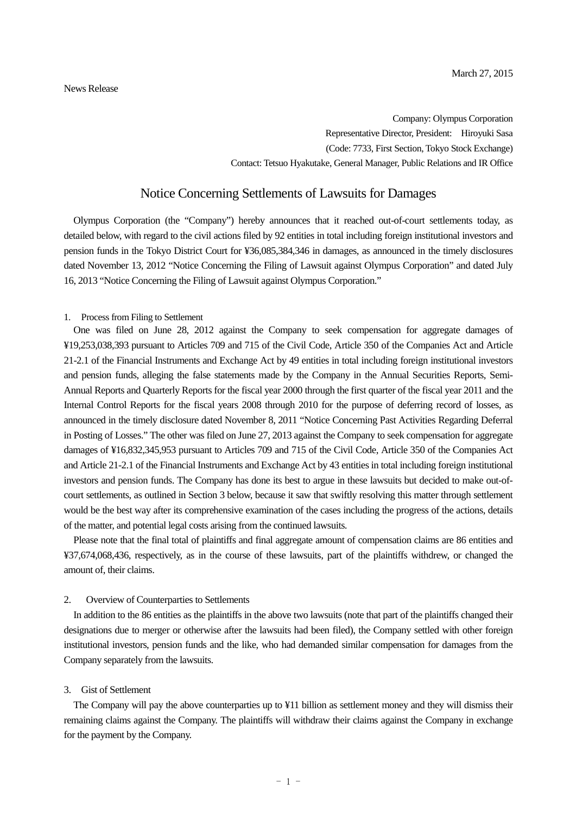Company: Olympus Corporation Representative Director, President: Hiroyuki Sasa (Code: 7733, First Section, Tokyo Stock Exchange) Contact: Tetsuo Hyakutake, General Manager, Public Relations and IR Office

# Notice Concerning Settlements of Lawsuits for Damages

Olympus Corporation (the "Company") hereby announces that it reached out-of-court settlements today, as detailed below, with regard to the civil actions filed by 92 entities in total including foreign institutional investors and pension funds in the Tokyo District Court for ¥36,085,384,346 in damages, as announced in the timely disclosures dated November 13, 2012 "Notice Concerning the Filing of Lawsuit against Olympus Corporation" and dated July 16, 2013 "Notice Concerning the Filing of Lawsuit against Olympus Corporation."

#### 1. Process from Filing to Settlement

One was filed on June 28, 2012 against the Company to seek compensation for aggregate damages of ¥19,253,038,393 pursuant to Articles 709 and 715 of the Civil Code, Article 350 of the Companies Act and Article 21-2.1 of the Financial Instruments and Exchange Act by 49 entities in total including foreign institutional investors and pension funds, alleging the false statements made by the Company in the Annual Securities Reports, Semi-Annual Reports and Quarterly Reports for the fiscal year 2000 through the first quarter of the fiscal year 2011 and the Internal Control Reports for the fiscal years 2008 through 2010 for the purpose of deferring record of losses, as announced in the timely disclosure dated November 8, 2011 "Notice Concerning Past Activities Regarding Deferral in Posting of Losses." The other was filed on June 27, 2013 against the Company to seek compensation for aggregate damages of ¥16,832,345,953 pursuant to Articles 709 and 715 of the Civil Code, Article 350 of the Companies Act and Article 21-2.1 of the Financial Instruments and Exchange Act by 43 entities in total including foreign institutional investors and pension funds. The Company has done its best to argue in these lawsuits but decided to make out-ofcourt settlements, as outlined in Section 3 below, because it saw that swiftly resolving this matter through settlement would be the best way after its comprehensive examination of the cases including the progress of the actions, details of the matter, and potential legal costs arising from the continued lawsuits.

Please note that the final total of plaintiffs and final aggregate amount of compensation claims are 86 entities and ¥37,674,068,436, respectively, as in the course of these lawsuits, part of the plaintiffs withdrew, or changed the amount of, their claims.

### 2. Overview of Counterparties to Settlements

In addition to the 86 entities as the plaintiffs in the above two lawsuits (note that part of the plaintiffs changed their designations due to merger or otherwise after the lawsuits had been filed), the Company settled with other foreign institutional investors, pension funds and the like, who had demanded similar compensation for damages from the Company separately from the lawsuits.

### 3. Gist of Settlement

The Company will pay the above counterparties up to ¥11 billion as settlement money and they will dismiss their remaining claims against the Company. The plaintiffs will withdraw their claims against the Company in exchange for the payment by the Company.